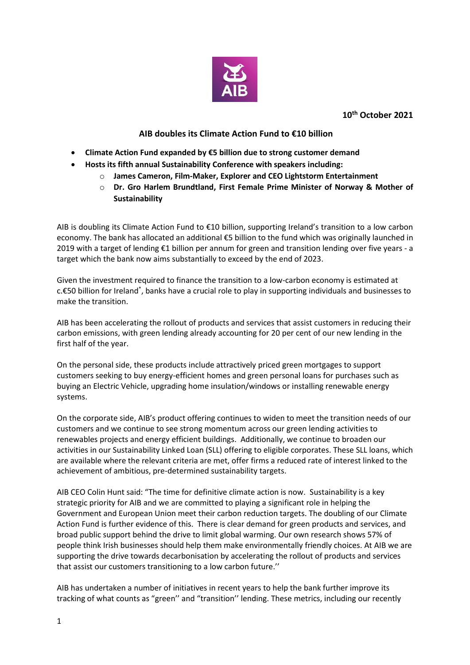

**10 th October 2021**

## **AIB doubles its Climate Action Fund to €10 billion**

- **Climate Action Fund expanded by €5 billion due to strong customer demand**
- **Hosts its fifth annual Sustainability Conference with speakers including:**
	- o **James Cameron, Film-Maker, Explorer and CEO Lightstorm Entertainment**
	- o **Dr. Gro Harlem Brundtland, First Female Prime Minister of Norway & Mother of Sustainability**

AIB is doubling its Climate Action Fund to €10 billion, supporting Ireland's transition to a low carbon economy. The bank has allocated an additional €5 billion to the fund which was originally launched in 2019 with a target of lending €1 billion per annum for green and transition lending over five years - a target which the bank now aims substantially to exceed by the end of 2023.

Given the investment required to finance the transition to a low-carbon economy is estimated at c.€50 billion for Ireland<sup>\*</sup>, banks have a crucial role to play in supporting individuals and businesses to make the transition.

AIB has been accelerating the rollout of products and services that assist customers in reducing their carbon emissions, with green lending already accounting for 20 per cent of our new lending in the first half of the year.

On the personal side, these products include attractively priced green mortgages to support customers seeking to buy energy-efficient homes and green personal loans for purchases such as buying an Electric Vehicle, upgrading home insulation/windows or installing renewable energy systems.

On the corporate side, AIB's product offering continues to widen to meet the transition needs of our customers and we continue to see strong momentum across our green lending activities to renewables projects and energy efficient buildings. Additionally, we continue to broaden our activities in our Sustainability Linked Loan (SLL) offering to eligible corporates. These SLL loans, which are available where the relevant criteria are met, offer firms a reduced rate of interest linked to the achievement of ambitious, pre-determined sustainability targets.

AIB CEO Colin Hunt said: "The time for definitive climate action is now. Sustainability is a key strategic priority for AIB and we are committed to playing a significant role in helping the Government and European Union meet their carbon reduction targets. The doubling of our Climate Action Fund is further evidence of this. There is clear demand for green products and services, and broad public support behind the drive to limit global warming. Our own research shows 57% of people think Irish businesses should help them make environmentally friendly choices. At AIB we are supporting the drive towards decarbonisation by accelerating the rollout of products and services that assist our customers transitioning to a low carbon future.''

AIB has undertaken a number of initiatives in recent years to help the bank further improve its tracking of what counts as "green'' and "transition'' lending. These metrics, including our recently